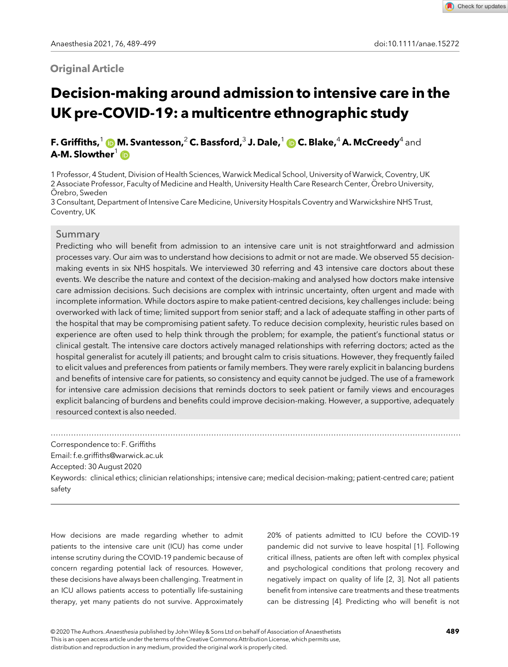# **Original Article**

Check for updates

# Decision-making around admission to intensive care in the UK pre-COVID-19: a multicentre ethnographic study

F. Griffiths,<sup>1</sup>  $\bullet$  M. Svantesson,<sup>2</sup> C. Bassford,<sup>3</sup> J. Dale,<sup>1</sup>  $\bullet$  C. Blake,<sup>4</sup> A. McCreedy<sup>4</sup> and A-M. Slowther<sup>1</sup> **D** 

1 Professor, 4 Student, Division of Health Sciences, Warwick Medical School, University of Warwick, Coventry, UK 2 Associate Professor, Faculty of Medicine and Health, University Health Care Research Center, Örebro University, Orebro, Sweden €

3 Consultant, Department of Intensive Care Medicine, University Hospitals Coventry and Warwickshire NHS Trust, Coventry, UK

## Summary

Predicting who will benefit from admission to an intensive care unit is not straightforward and admission processes vary. Our aim was to understand how decisions to admit or not are made. We observed 55 decisionmaking events in six NHS hospitals. We interviewed 30 referring and 43 intensive care doctors about these events. We describe the nature and context of the decision-making and analysed how doctors make intensive care admission decisions. Such decisions are complex with intrinsic uncertainty, often urgent and made with incomplete information. While doctors aspire to make patient-centred decisions, key challenges include: being overworked with lack of time; limited support from senior staff; and a lack of adequate staffing in other parts of the hospital that may be compromising patient safety. To reduce decision complexity, heuristic rules based on experience are often used to help think through the problem; for example, the patient's functional status or clinical gestalt. The intensive care doctors actively managed relationships with referring doctors; acted as the hospital generalist for acutely ill patients; and brought calm to crisis situations. However, they frequently failed to elicit values and preferences from patients or family members. They were rarely explicit in balancing burdens and benefits of intensive care for patients, so consistency and equity cannot be judged. The use of a framework for intensive care admission decisions that reminds doctors to seek patient or family views and encourages explicit balancing of burdens and benefits could improve decision-making. However, a supportive, adequately resourced context is also needed.

................................................................................................................................................................. Correspondence to: F. Griffiths Email: f.e.griffi[ths@warwick.ac.uk](mailto:) Accepted: 30 August 2020 Keywords: clinical ethics; clinician relationships; intensive care; medical decision-making; patient-centred care; patient safety

How decisions are made regarding whether to admit patients to the intensive care unit (ICU) has come under intense scrutiny during the COVID-19 pandemic because of concern regarding potential lack of resources. However, these decisions have always been challenging. Treatment in an ICU allows patients access to potentially life-sustaining therapy, yet many patients do not survive. Approximately

20% of patients admitted to ICU before the COVID-19 pandemic did not survive to leave hospital [1]. Following critical illness, patients are often left with complex physical and psychological conditions that prolong recovery and negatively impact on quality of life [2, 3]. Not all patients benefit from intensive care treatments and these treatments can be distressing [4]. Predicting who will benefit is not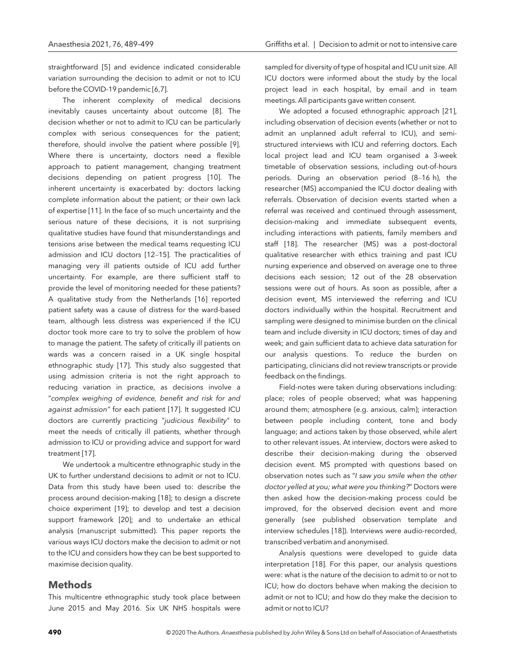straightforward [5] and evidence indicated considerable variation surrounding the decision to admit or not to ICU before the COVID-19 pandemic [6,7].

The inherent complexity of medical decisions inevitably causes uncertainty about outcome [8]. The decision whether or not to admit to ICU can be particularly complex with serious consequences for the patient; therefore, should involve the patient where possible [9]. Where there is uncertainty, doctors need a flexible approach to patient management, changing treatment decisions depending on patient progress [10]. The inherent uncertainty is exacerbated by: doctors lacking complete information about the patient; or their own lack of expertise [11]. In the face of so much uncertainty and the serious nature of these decisions, it is not surprising qualitative studies have found that misunderstandings and tensions arise between the medical teams requesting ICU admission and ICU doctors [12–15]. The practicalities of managing very ill patients outside of ICU add further uncertainty. For example, are there sufficient staff to provide the level of monitoring needed for these patients? A qualitative study from the Netherlands [16] reported patient safety was a cause of distress for the ward-based team, although less distress was experienced if the ICU doctor took more care to try to solve the problem of how to manage the patient. The safety of critically ill patients on wards was a concern raised in a UK single hospital ethnographic study [17]. This study also suggested that using admission criteria is not the right approach to reducing variation in practice, as decisions involve a "complex weighing of evidence, benefit and risk for and against admission" for each patient [17]. It suggested ICU doctors are currently practicing "judicious flexibility" to meet the needs of critically ill patients, whether through admission to ICU or providing advice and support for ward treatment [17].

We undertook a multicentre ethnographic study in the UK to further understand decisions to admit or not to ICU. Data from this study have been used to: describe the process around decision-making [18]; to design a discrete choice experiment [19]; to develop and test a decision support framework [20]; and to undertake an ethical analysis (manuscript submitted). This paper reports the various ways ICU doctors make the decision to admit or not to the ICU and considers how they can be best supported to maximise decision quality.

# **Methods**

This multicentre ethnographic study took place between June 2015 and May 2016. Six UK NHS hospitals were sampled for diversity of type of hospital and ICU unit size. All ICU doctors were informed about the study by the local project lead in each hospital, by email and in team meetings. All participants gave written consent.

We adopted a focused ethnographic approach [21], including observation of decision events (whether or not to admit an unplanned adult referral to ICU), and semistructured interviews with ICU and referring doctors. Each local project lead and ICU team organised a 3-week timetable of observation sessions, including out-of-hours periods. During an observation period (8–16 h), the researcher (MS) accompanied the ICU doctor dealing with referrals. Observation of decision events started when a referral was received and continued through assessment, decision-making and immediate subsequent events, including interactions with patients, family members and staff [18]. The researcher (MS) was a post-doctoral qualitative researcher with ethics training and past ICU nursing experience and observed on average one to three decisions each session; 12 out of the 28 observation sessions were out of hours. As soon as possible, after a decision event, MS interviewed the referring and ICU doctors individually within the hospital. Recruitment and sampling were designed to minimise burden on the clinical team and include diversity in ICU doctors; times of day and week; and gain sufficient data to achieve data saturation for our analysis questions. To reduce the burden on participating, clinicians did not review transcripts or provide feedback on the findings.

Field-notes were taken during observations including: place; roles of people observed; what was happening around them; atmosphere (e.g. anxious, calm); interaction between people including content, tone and body language; and actions taken by those observed, while alert to other relevant issues. At interview, doctors were asked to describe their decision-making during the observed decision event. MS prompted with questions based on observation notes such as "I saw you smile when the other doctor yelled at you; what were you thinking?" Doctors were then asked how the decision-making process could be improved, for the observed decision event and more generally (see published observation template and interview schedules [18]). Interviews were audio-recorded, transcribed verbatim and anonymised.

Analysis questions were developed to guide data interpretation [18]. For this paper, our analysis questions were: what is the nature of the decision to admit to or not to ICU; how do doctors behave when making the decision to admit or not to ICU; and how do they make the decision to admit or not to ICU?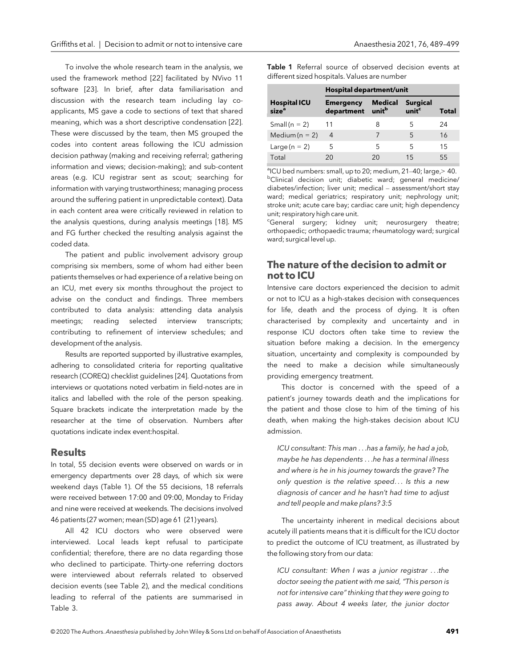To involve the whole research team in the analysis, we used the framework method [22] facilitated by NVivo 11 software [23]. In brief, after data familiarisation and discussion with the research team including lay coapplicants, MS gave a code to sections of text that shared meaning, which was a short descriptive condensation [22]. These were discussed by the team, then MS grouped the codes into content areas following the ICU admission decision pathway (making and receiving referral; gathering information and views; decision-making); and sub-content areas (e.g. ICU registrar sent as scout; searching for information with varying trustworthiness; managing process around the suffering patient in unpredictable context). Data in each content area were critically reviewed in relation to the analysis questions, during analysis meetings [18]. MS and FG further checked the resulting analysis against the coded data.

The patient and public involvement advisory group comprising six members, some of whom had either been patients themselves or had experience of a relative being on an ICU, met every six months throughout the project to advise on the conduct and findings. Three members contributed to data analysis: attending data analysis meetings; reading selected interview transcripts; contributing to refinement of interview schedules; and development of the analysis.

Results are reported supported by illustrative examples, adhering to consolidated criteria for reporting qualitative research (COREQ) checklist guidelines [24]. Quotations from interviews or quotations noted verbatim in field-notes are in italics and labelled with the role of the person speaking. Square brackets indicate the interpretation made by the researcher at the time of observation. Numbers after quotations indicate index event:hospital.

### Results

In total, 55 decision events were observed on wards or in emergency departments over 28 days, of which six were weekend days (Table 1). Of the 55 decisions, 18 referrals were received between 17:00 and 09:00, Monday to Friday and nine were received at weekends. The decisions involved 46 patients (27 women; mean (SD) age 61 (21) years).

All 42 ICU doctors who were observed were interviewed. Local leads kept refusal to participate confidential; therefore, there are no data regarding those who declined to participate. Thirty-one referring doctors were interviewed about referrals related to observed decision events (see Table 2), and the medical conditions leading to referral of the patients are summarised in Table 3.

|                                          | Hospital department/unit       |                                     |                                      |              |  |  |
|------------------------------------------|--------------------------------|-------------------------------------|--------------------------------------|--------------|--|--|
| <b>Hospital ICU</b><br>size <sup>a</sup> | <b>Emergency</b><br>department | <b>Medical</b><br>unit <sup>b</sup> | <b>Surgical</b><br>unit <sup>c</sup> | <b>Total</b> |  |  |
| $Small(n = 2)$                           | 11                             | 8                                   | 5                                    | 24           |  |  |
| Medium ( $n = 2$ )                       | 4                              |                                     | 5                                    | 16           |  |  |
| Large $(n = 2)$                          | 5                              | 5                                   | 5                                    | 15           |  |  |
| Total                                    | 20                             | 2Ο                                  | 15                                   | 55           |  |  |

a ICU bed numbers: small, up to 20; medium, 21–40; large,> 40. b Clinical decision unit; diabetic ward; general medicine/ diabetes/infection; liver unit; medical – assessment/short stay ward; medical geriatrics; respiratory unit; nephrology unit; stroke unit; acute care bay; cardiac care unit; high dependency unit; respiratory high care unit.

<sup>c</sup>General surgery; kidney unit; neurosurgery theatre; orthopaedic; orthopaedic trauma; rheumatology ward; surgical ward; surgical level up.

# The nature of the decision to admit or not to ICU

Intensive care doctors experienced the decision to admit or not to ICU as a high-stakes decision with consequences for life, death and the process of dying. It is often characterised by complexity and uncertainty and in response ICU doctors often take time to review the situation before making a decision. In the emergency situation, uncertainty and complexity is compounded by the need to make a decision while simultaneously providing emergency treatment.

This doctor is concerned with the speed of a patient's journey towards death and the implications for the patient and those close to him of the timing of his death, when making the high-stakes decision about ICU admission.

ICU consultant: This man ...has a family, he had a job, maybe he has dependents ...he has a terminal illness and where is he in his journey towards the grave? The only question is the relative speed... Is this a new diagnosis of cancer and he hasn't had time to adjust and tell people and make plans? 3:5

The uncertainty inherent in medical decisions about acutely ill patients means that it is difficult for the ICU doctor to predict the outcome of ICU treatment, as illustrated by the following story from our data:

ICU consultant: When I was a junior registrar ...the doctor seeing the patient with me said, "This person is not for intensive care" thinking that they were going to pass away. About 4 weeks later, the junior doctor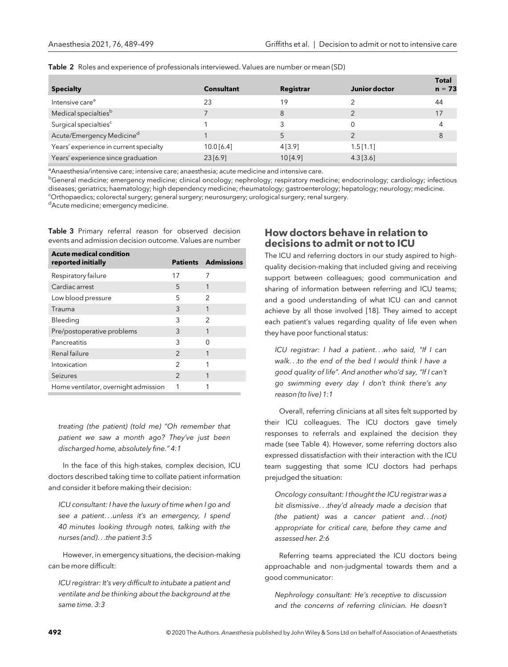|  |  |  |  |  | Table 2 Roles and experience of professionals interviewed. Values are number or mean (SD) |  |  |
|--|--|--|--|--|-------------------------------------------------------------------------------------------|--|--|
|--|--|--|--|--|-------------------------------------------------------------------------------------------|--|--|

| <b>Specialty</b>                       | Consultant | Registrar | Junior doctor | <b>Total</b><br>$n = 73$ |
|----------------------------------------|------------|-----------|---------------|--------------------------|
| Intensive care <sup>a</sup>            | 23         | 19        |               | 44                       |
| Medical specialties <sup>b</sup>       |            | 8         |               | 17                       |
| Surgical specialties <sup>c</sup>      |            | 3         |               | 4                        |
| Acute/Emergency Medicine <sup>d</sup>  |            | 5         |               | 8                        |
| Years' experience in current specialty | 10.0[6.4]  | 4[3.9]    | 1.5[1.1]      |                          |
| Years' experience since graduation     | 23[6.9]    | 10[4.9]   | 4.3[3.6]      |                          |

 $^{\rm a}$ Anaesthesia/intensive care; intensive care; anaesthesia; acute medicine and intensive care.

<sup>b</sup>General medicine; emergency medicine; clinical oncology; nephrology; respiratory medicine; endocrinology; cardiology; infectious diseases; geriatrics; haematology; high dependency medicine; rheumatology; gastroenterology; hepatology; neurology; medicine. c Orthopaedics; colorectal surgery; general surgery; neurosurgery; urological surgery; renal surgery.

d Acute medicine; emergency medicine.

|  |  | Table 3 Primary referral reason for observed decision    |  |
|--|--|----------------------------------------------------------|--|
|  |  | events and admission decision outcome. Values are number |  |

| <b>Acute medical condition</b><br>reported initially |                | <b>Patients Admissions</b> |
|------------------------------------------------------|----------------|----------------------------|
| Respiratory failure                                  | 17             | 7                          |
| Cardiac arrest                                       | 5              |                            |
| Low blood pressure                                   | 5              | 2                          |
| Trauma                                               | 3              | 1                          |
| Bleeding                                             | 3              | 2                          |
| Pre/postoperative problems                           | 3              |                            |
| Pancreatitis                                         | 3              |                            |
| Renal failure                                        | $\mathfrak{D}$ |                            |
| Intoxication                                         | $\mathcal{P}$  |                            |
| Seizures                                             | $\overline{2}$ |                            |
| Home ventilator, overnight admission                 | 1              |                            |

treating (the patient) (told me) "Oh remember that patient we saw a month ago? They've just been discharged home, absolutely fine." 4:1

In the face of this high-stakes, complex decision, ICU doctors described taking time to collate patient information and consider it before making their decision:

ICU consultant: I have the luxury of time when I go and see a patient...unless it's an emergency, I spend 40 minutes looking through notes, talking with the nurses (and)...the patient 3:5

However, in emergency situations, the decision-making can be more difficult:

ICU registrar: It's very difficult to intubate a patient and ventilate and be thinking about the background at the same time. 3:3

# How doctors behave in relation to decisions to admit or not to ICU

The ICU and referring doctors in our study aspired to highquality decision-making that included giving and receiving support between colleagues; good communication and sharing of information between referring and ICU teams; and a good understanding of what ICU can and cannot achieve by all those involved [18]. They aimed to accept each patient's values regarding quality of life even when they have poor functional status:

ICU registrar: I had a patient...who said, "If I can walk...to the end of the bed I would think I have a good quality of life". And another who'd say, "If I can't go swimming every day I don't think there's any reason (to live) 1:1

Overall, referring clinicians at all sites felt supported by their ICU colleagues. The ICU doctors gave timely responses to referrals and explained the decision they made (see Table 4). However, some referring doctors also expressed dissatisfaction with their interaction with the ICU team suggesting that some ICU doctors had perhaps prejudged the situation:

Oncology consultant: I thought the ICU registrar was a bit dismissive...they'd already made a decision that (the patient) was a cancer patient and...(not) appropriate for critical care, before they came and assessed her. 2:6

Referring teams appreciated the ICU doctors being approachable and non-judgmental towards them and a good communicator:

Nephrology consultant: He's receptive to discussion and the concerns of referring clinician. He doesn't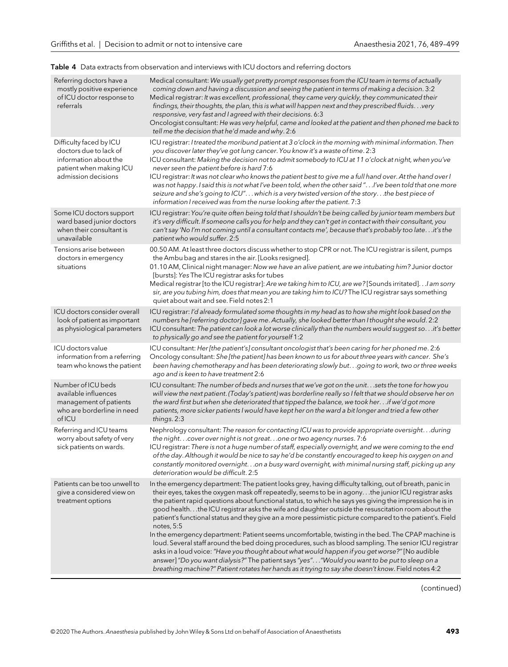| Referring doctors have a<br>mostly positive experience<br>of ICU doctor response to<br>referrals                             | Medical consultant: We usually get pretty prompt responses from the ICU team in terms of actually<br>coming down and having a discussion and seeing the patient in terms of making a decision. 3:2<br>Medical registrar: It was excellent, professional, they came very quickly, they communicated their<br>findings, their thoughts, the plan, this is what will happen next and they prescribed fluids very<br>responsive, very fast and I agreed with their decisions. 6:3<br>Oncologist consultant: He was very helpful, came and looked at the patient and then phoned me back to<br>tell me the decision that he'd made and why. 2:6                                                                                                                                                                                                                                                                                                                                                                                                                                            |
|------------------------------------------------------------------------------------------------------------------------------|---------------------------------------------------------------------------------------------------------------------------------------------------------------------------------------------------------------------------------------------------------------------------------------------------------------------------------------------------------------------------------------------------------------------------------------------------------------------------------------------------------------------------------------------------------------------------------------------------------------------------------------------------------------------------------------------------------------------------------------------------------------------------------------------------------------------------------------------------------------------------------------------------------------------------------------------------------------------------------------------------------------------------------------------------------------------------------------|
| Difficulty faced by ICU<br>doctors due to lack of<br>information about the<br>patient when making ICU<br>admission decisions | ICU registrar: I treated the moribund patient at 3 o'clock in the morning with minimal information. Then<br>you discover later they've got lung cancer. You know it's a waste of time. 2:3<br>ICU consultant: Making the decision not to admit somebody to ICU at 11 o'clock at night, when you've<br>never seen the patient before is hard 7:6<br>ICU registrar: It was not clear who knows the patient best to give me a full hand over. At the hand over I<br>was not happy. I said this is not what I've been told, when the other said "I've been told that one more<br>seizure and she's going to ICU" which is a very twisted version of the story the best piece of<br>information I received was from the nurse looking after the patient. 7:3                                                                                                                                                                                                                                                                                                                               |
| Some ICU doctors support<br>ward based junior doctors<br>when their consultant is<br>unavailable                             | ICU registrar: You're quite often being told that I shouldn't be being called by junior team members but<br>it's very difficult. If someone calls you for help and they can't get in contact with their consultant, you<br>can't say 'No I'm not coming until a consultant contacts me', because that's probably too lateit's the<br>patient who would suffer. 2:5                                                                                                                                                                                                                                                                                                                                                                                                                                                                                                                                                                                                                                                                                                                    |
| Tensions arise between<br>doctors in emergency<br>situations                                                                 | 00.50 AM. At least three doctors discuss whether to stop CPR or not. The ICU registrar is silent, pumps<br>the Ambu bag and stares in the air. [Looks resigned].<br>01.10 AM, Clinical night manager: Now we have an alive patient, are we intubating him? Junior doctor<br>[bursts]: Yes The ICU registrar asks for tubes<br>Medical registrar [to the ICU registrar]: Are we taking him to ICU, are we? [Sounds irritated]. I am sorry<br>sir, are you tubing him, does that mean you are taking him to ICU? The ICU registrar says something<br>quiet about wait and see. Field notes 2:1                                                                                                                                                                                                                                                                                                                                                                                                                                                                                          |
| ICU doctors consider overall<br>look of patient as important<br>as physiological parameters                                  | ICU registrar: I'd already formulated some thoughts in my head as to how she might look based on the<br>numbers he [referring doctor] gave me. Actually, she looked better than I thought she would. 2:2<br>ICU consultant: The patient can look a lot worse clinically than the numbers would suggest so it's better<br>to physically go and see the patient for yourself 1:2                                                                                                                                                                                                                                                                                                                                                                                                                                                                                                                                                                                                                                                                                                        |
| ICU doctors value<br>information from a referring<br>team who knows the patient                                              | ICU consultant: Her [the patient's] consultant oncologist that's been caring for her phoned me. 2:6<br>Oncology consultant: She [the patient] has been known to us for about three years with cancer. She's<br>been having chemotherapy and has been deteriorating slowly butgoing to work, two or three weeks<br>ago and is keen to have treatment 2:6                                                                                                                                                                                                                                                                                                                                                                                                                                                                                                                                                                                                                                                                                                                               |
| Number of ICU beds<br>available influences<br>management of patients<br>who are borderline in need<br>ofICU                  | ICU consultant: The number of beds and nurses that we've got on the unit.sets the tone for how you<br>will view the next patient. (Today's patient) was borderline really so I felt that we should observe her on<br>the ward first but when she deteriorated that tipped the balance, we took herif we'd got more<br>patients, more sicker patients I would have kept her on the ward a bit longer and tried a few other<br>things. 2:3                                                                                                                                                                                                                                                                                                                                                                                                                                                                                                                                                                                                                                              |
| Referring and ICU teams<br>worry about safety of very<br>sick patients on wards.                                             | Nephrology consultant: The reason for contacting ICU was to provide appropriate oversightduring<br>the night cover over night is not great one or two agency nurses. 7:6<br>ICU registrar: There is not a huge number of staff, especially overnight, and we were coming to the end<br>of the day. Although it would be nice to say he'd be constantly encouraged to keep his oxygen on and<br>constantly monitored overnight.on a busy ward overnight, with minimal nursing staff, picking up any<br>deterioration would be difficult. 2:5                                                                                                                                                                                                                                                                                                                                                                                                                                                                                                                                           |
| Patients can be too unwell to<br>give a considered view on<br>treatment options                                              | In the emergency department: The patient looks grey, having difficulty talking, out of breath, panic in<br>their eyes, takes the oxygen mask off repeatedly, seems to be in agonythe junior ICU registrar asks<br>the patient rapid questions about functional status, to which he says yes giving the impression he is in<br>good health.the ICU registrar asks the wife and daughter outside the resuscitation room about the<br>patient's functional status and they give an a more pessimistic picture compared to the patient's. Field<br>notes, $5:5$<br>In the emergency department: Patient seems uncomfortable, twisting in the bed. The CPAP machine is<br>loud. Several staff around the bed doing procedures, such as blood sampling. The senior ICU registrar<br>asks in a loud voice: "Have you thought about what would happen if you get worse?" [No audible<br>answer] "Do you want dialysis?" The patient says "yes" "Would you want to be put to sleep on a<br>breathing machine?" Patient rotates her hands as it trying to say she doesn't know. Field notes 4:2 |

Table 4 Data extracts from observation and interviews with ICU doctors and referring doctors

(continued)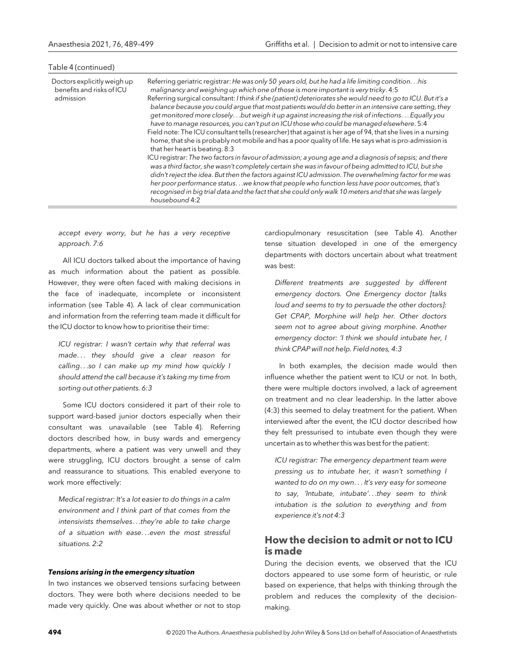| Table 4 (continued)                                                   |                                                                                                                                                                                                                                                                                                                                                                                                                                                                                                                                                                                                                                                                                                                                                                                                                                                                                                                                                                                                                                                                                                                                                                                                                                                                                                                                                                                                                                     |
|-----------------------------------------------------------------------|-------------------------------------------------------------------------------------------------------------------------------------------------------------------------------------------------------------------------------------------------------------------------------------------------------------------------------------------------------------------------------------------------------------------------------------------------------------------------------------------------------------------------------------------------------------------------------------------------------------------------------------------------------------------------------------------------------------------------------------------------------------------------------------------------------------------------------------------------------------------------------------------------------------------------------------------------------------------------------------------------------------------------------------------------------------------------------------------------------------------------------------------------------------------------------------------------------------------------------------------------------------------------------------------------------------------------------------------------------------------------------------------------------------------------------------|
| Doctors explicitly weigh up<br>benefits and risks of ICU<br>admission | Referring geriatric registrar: He was only 50 years old, but he had a life limiting conditionhis<br>malignancy and weighing up which one of those is more important is very tricky. 4:5<br>Referring surgical consultant: I think if she (patient) deteriorates she would need to go to ICU. But it's a<br>balance because you could argue that most patients would do better in an intensive care setting, they<br>get monitored more closelybut weigh it up against increasing the risk of infections Equally you<br>have to manage resources, you can't put on ICU those who could be managed elsewhere. 5:4<br>Field note: The ICU consultant tells (researcher) that against is her age of 94, that she lives in a nursing<br>home, that she is probably not mobile and has a poor quality of life. He says what is pro-admission is<br>that her heart is beating. 8:3<br>ICU registrar: The two factors in favour of admission; a young age and a diagnosis of sepsis; and there<br>was a third factor, she wasn't completely certain she was in favour of being admitted to ICU, but she<br>didn't reject the idea. But then the factors against ICU admission. The overwhelming factor for me was<br>her poor performance statuswe know that people who function less have poor outcomes, that's<br>recognised in big trial data and the fact that she could only walk 10 meters and that she was largely<br>housebound 4:2 |
|                                                                       |                                                                                                                                                                                                                                                                                                                                                                                                                                                                                                                                                                                                                                                                                                                                                                                                                                                                                                                                                                                                                                                                                                                                                                                                                                                                                                                                                                                                                                     |

accept every worry, but he has a very receptive approach. 7:6

All ICU doctors talked about the importance of having as much information about the patient as possible. However, they were often faced with making decisions in the face of inadequate, incomplete or inconsistent information (see Table 4). A lack of clear communication and information from the referring team made it difficult for the ICU doctor to know how to prioritise their time:

ICU registrar: I wasn't certain why that referral was made... they should give a clear reason for calling...so I can make up my mind how quickly I should attend the call because it's taking my time from sorting out other patients. 6:3

Some ICU doctors considered it part of their role to support ward-based junior doctors especially when their consultant was unavailable (see Table 4). Referring doctors described how, in busy wards and emergency departments, where a patient was very unwell and they were struggling, ICU doctors brought a sense of calm and reassurance to situations. This enabled everyone to work more effectively:

Medical registrar: It's a lot easier to do things in a calm environment and I think part of that comes from the intensivists themselves...they're able to take charge of a situation with ease. even the most stressful situations. 2:2

Tensions arising in the emergency situation In two instances we observed tensions surfacing between doctors. They were both where decisions needed to be made very quickly. One was about whether or not to stop cardiopulmonary resuscitation (see Table 4). Another tense situation developed in one of the emergency departments with doctors uncertain about what treatment was best:

Different treatments are suggested by different emergency doctors. One Emergency doctor [talks loud and seems to try to persuade the other doctors]: Get CPAP, Morphine will help her. Other doctors seem not to agree about giving morphine. Another emergency doctor: 'I think we should intubate her, I think CPAP will not help. Field notes, 4:3

In both examples, the decision made would then influence whether the patient went to ICU or not. In both, there were multiple doctors involved, a lack of agreement on treatment and no clear leadership. In the latter above (4:3) this seemed to delay treatment for the patient. When interviewed after the event, the ICU doctor described how they felt pressurised to intubate even though they were uncertain as to whether this was best for the patient:

ICU registrar: The emergency department team were pressing us to intubate her, it wasn't something I wanted to do on my own... It's very easy for someone to say, 'Intubate, intubate'...they seem to think intubation is the solution to everything and from experience it's not 4:3

# How the decision to admit or not to ICU is made

During the decision events, we observed that the ICU doctors appeared to use some form of heuristic, or rule based on experience, that helps with thinking through the problem and reduces the complexity of the decisionmaking.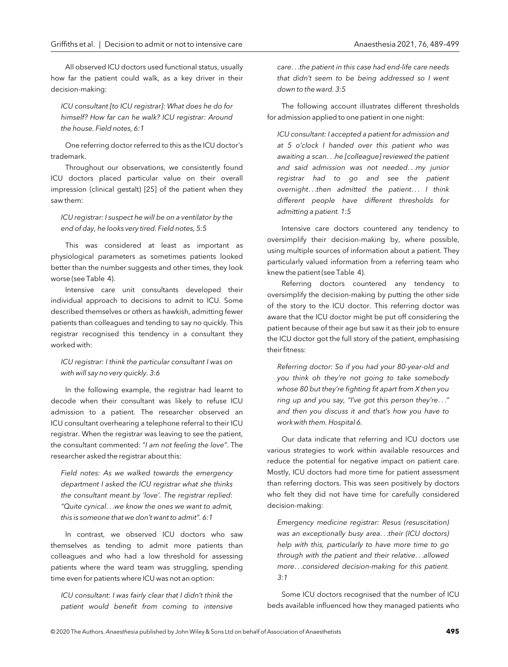All observed ICU doctors used functional status, usually how far the patient could walk, as a key driver in their decision-making:

ICU consultant [to ICU registrar]: What does he do for himself? How far can he walk? ICU registrar: Around the house. Field notes, 6:1

One referring doctor referred to this as the ICU doctor's trademark.

Throughout our observations, we consistently found ICU doctors placed particular value on their overall impression (clinical gestalt) [25] of the patient when they saw them:

ICU registrar: I suspect he will be on a ventilator by the end of day, he looks very tired. Field notes, 5:5

This was considered at least as important as physiological parameters as sometimes patients looked better than the number suggests and other times, they look worse (see Table 4).

Intensive care unit consultants developed their individual approach to decisions to admit to ICU. Some described themselves or others as hawkish, admitting fewer patients than colleagues and tending to say no quickly. This registrar recognised this tendency in a consultant they worked with:

### ICU registrar: I think the particular consultant I was on with will say no very quickly. 3:6

In the following example, the registrar had learnt to decode when their consultant was likely to refuse ICU admission to a patient. The researcher observed an ICU consultant overhearing a telephone referral to their ICU registrar. When the registrar was leaving to see the patient, the consultant commented: "I am not feeling the love". The researcher asked the registrar about this:

Field notes: As we walked towards the emergency department I asked the ICU registrar what she thinks the consultant meant by 'love'. The registrar replied: "Quite cynical...we know the ones we want to admit, this is someone that we don't want to admit". 6:1

In contrast, we observed ICU doctors who saw themselves as tending to admit more patients than colleagues and who had a low threshold for assessing patients where the ward team was struggling, spending time even for patients where ICU was not an option:

ICU consultant: I was fairly clear that I didn't think the patient would benefit from coming to intensive care...the patient in this case had end-life care needs that didn't seem to be being addressed so I went down to the ward. 3:5

The following account illustrates different thresholds for admission applied to one patient in one night:

ICU consultant: I accepted a patient for admission and at 5 o'clock I handed over this patient who was awaiting a scan...he [colleague] reviewed the patient and said admission was not needed...my junior registrar had to go and see the patient overnight...then admitted the patient... I think different people have different thresholds for admitting a patient. 1:5

Intensive care doctors countered any tendency to oversimplify their decision-making by, where possible, using multiple sources of information about a patient. They particularly valued information from a referring team who knew the patient (see Table 4).

Referring doctors countered any tendency to oversimplify the decision-making by putting the other side of the story to the ICU doctor. This referring doctor was aware that the ICU doctor might be put off considering the patient because of their age but saw it as their job to ensure the ICU doctor got the full story of the patient, emphasising their fitness:

Referring doctor: So if you had your 80-year-old and you think oh they're not going to take somebody whose 80 but they're fighting fit apart from X then you ring up and you say, "I've got this person they're..." and then you discuss it and that's how you have to work with them. Hospital 6.

Our data indicate that referring and ICU doctors use various strategies to work within available resources and reduce the potential for negative impact on patient care. Mostly, ICU doctors had more time for patient assessment than referring doctors. This was seen positively by doctors who felt they did not have time for carefully considered decision-making:

Emergency medicine registrar: Resus (resuscitation) was an exceptionally busy area...their (ICU doctors) help with this, particularly to have more time to go through with the patient and their relative...allowed more...considered decision-making for this patient.  $3:1$ 

Some ICU doctors recognised that the number of ICU beds available influenced how they managed patients who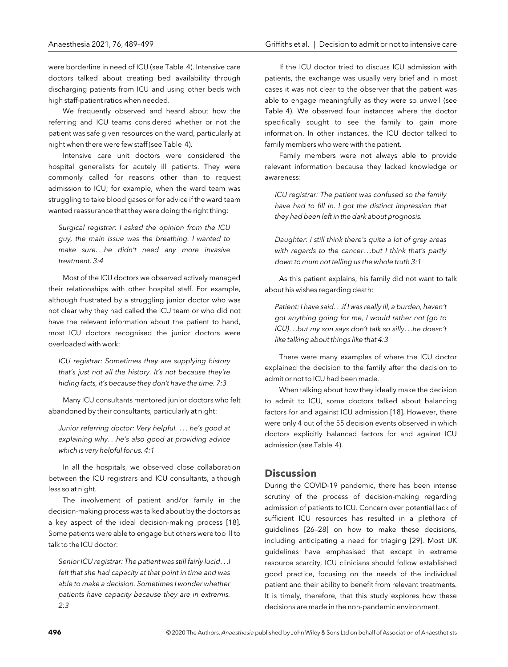were borderline in need of ICU (see Table 4). Intensive care doctors talked about creating bed availability through discharging patients from ICU and using other beds with high staff-patient ratios when needed.

We frequently observed and heard about how the referring and ICU teams considered whether or not the patient was safe given resources on the ward, particularly at night when there were few staff (see Table 4).

Intensive care unit doctors were considered the hospital generalists for acutely ill patients. They were commonly called for reasons other than to request admission to ICU; for example, when the ward team was struggling to take blood gases or for advice if the ward team wanted reassurance that they were doing the right thing:

Surgical registrar: I asked the opinion from the ICU guy, the main issue was the breathing. I wanted to make sure...he didn't need any more invasive treatment. 3:4

Most of the ICU doctors we observed actively managed their relationships with other hospital staff. For example, although frustrated by a struggling junior doctor who was not clear why they had called the ICU team or who did not have the relevant information about the patient to hand, most ICU doctors recognised the junior doctors were overloaded with work:

ICU registrar: Sometimes they are supplying history that's just not all the history. It's not because they're hiding facts, it's because they don't have the time. 7:3

Many ICU consultants mentored junior doctors who felt abandoned by their consultants, particularly at night:

Junior referring doctor: Very helpful. ... he's good at explaining why...he's also good at providing advice which is very helpful for us. 4:1

In all the hospitals, we observed close collaboration between the ICU registrars and ICU consultants, although less so at night.

The involvement of patient and/or family in the decision-making process was talked about by the doctors as a key aspect of the ideal decision-making process [18]. Some patients were able to engage but others were too ill to talk to the ICU doctor:

Senior ICU registrar: The patient was still fairly lucid...I felt that she had capacity at that point in time and was able to make a decision. Sometimes I wonder whether patients have capacity because they are in extremis. 2:3

If the ICU doctor tried to discuss ICU admission with patients, the exchange was usually very brief and in most cases it was not clear to the observer that the patient was able to engage meaningfully as they were so unwell (see Table 4). We observed four instances where the doctor specifically sought to see the family to gain more information. In other instances, the ICU doctor talked to family members who were with the patient.

Family members were not always able to provide relevant information because they lacked knowledge or awareness:

ICU registrar: The patient was confused so the family have had to fill in. I got the distinct impression that they had been left in the dark about prognosis.

Daughter: I still think there's quite a lot of grey areas with regards to the cancer...but I think that's partly down to mum not telling us the whole truth 3:1

As this patient explains, his family did not want to talk about his wishes regarding death:

Patient: I have said...if I was really ill, a burden, haven't got anything going for me, I would rather not (go to ICU)...but my son says don't talk so silly...he doesn't like talking about things like that 4:3

There were many examples of where the ICU doctor explained the decision to the family after the decision to admit or not to ICU had been made.

When talking about how they ideally make the decision to admit to ICU, some doctors talked about balancing factors for and against ICU admission [18]. However, there were only 4 out of the 55 decision events observed in which doctors explicitly balanced factors for and against ICU admission (see Table 4).

### **Discussion**

During the COVID-19 pandemic, there has been intense scrutiny of the process of decision-making regarding admission of patients to ICU. Concern over potential lack of sufficient ICU resources has resulted in a plethora of guidelines [26–28] on how to make these decisions, including anticipating a need for triaging [29]. Most UK guidelines have emphasised that except in extreme resource scarcity, ICU clinicians should follow established good practice, focusing on the needs of the individual patient and their ability to benefit from relevant treatments. It is timely, therefore, that this study explores how these decisions are made in the non-pandemic environment.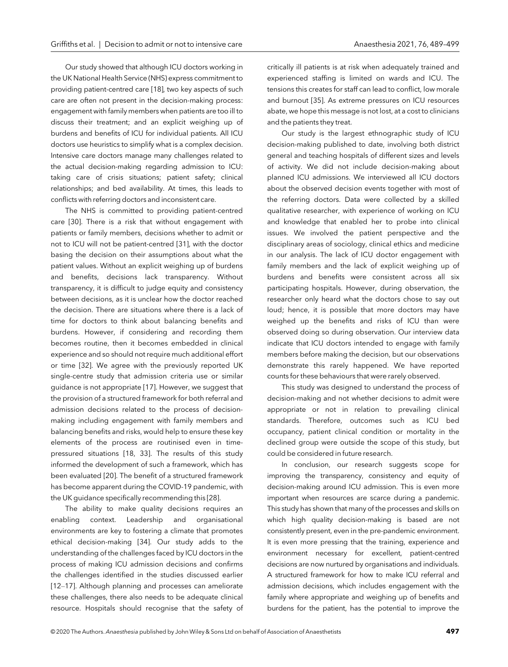Our study showed that although ICU doctors working in the UK National Health Service (NHS) express commitment to providing patient-centred care [18], two key aspects of such care are often not present in the decision-making process: engagement with family members when patients are too ill to discuss their treatment; and an explicit weighing up of burdens and benefits of ICU for individual patients. All ICU doctors use heuristics to simplify what is a complex decision. Intensive care doctors manage many challenges related to the actual decision-making regarding admission to ICU: taking care of crisis situations; patient safety; clinical relationships; and bed availability. At times, this leads to

conflicts with referring doctors and inconsistent care. The NHS is committed to providing patient-centred care [30]. There is a risk that without engagement with patients or family members, decisions whether to admit or not to ICU will not be patient-centred [31], with the doctor basing the decision on their assumptions about what the patient values. Without an explicit weighing up of burdens and benefits, decisions lack transparency. Without transparency, it is difficult to judge equity and consistency between decisions, as it is unclear how the doctor reached the decision. There are situations where there is a lack of time for doctors to think about balancing benefits and burdens. However, if considering and recording them becomes routine, then it becomes embedded in clinical experience and so should not require much additional effort or time [32]. We agree with the previously reported UK single-centre study that admission criteria use or similar guidance is not appropriate [17]. However, we suggest that the provision of a structured framework for both referral and admission decisions related to the process of decisionmaking including engagement with family members and balancing benefits and risks, would help to ensure these key elements of the process are routinised even in timepressured situations [18, 33]. The results of this study informed the development of such a framework, which has been evaluated [20]. The benefit of a structured framework has become apparent during the COVID-19 pandemic, with the UK guidance specifically recommending this [28].

The ability to make quality decisions requires an enabling context. Leadership and organisational environments are key to fostering a climate that promotes ethical decision-making [34]. Our study adds to the understanding of the challenges faced by ICU doctors in the process of making ICU admission decisions and confirms the challenges identified in the studies discussed earlier [12–17]. Although planning and processes can ameliorate these challenges, there also needs to be adequate clinical resource. Hospitals should recognise that the safety of critically ill patients is at risk when adequately trained and experienced staffing is limited on wards and ICU. The tensions this creates for staff can lead to conflict, low morale and burnout [35]. As extreme pressures on ICU resources abate, we hope this message is not lost, at a cost to clinicians and the patients they treat.

Our study is the largest ethnographic study of ICU decision-making published to date, involving both district general and teaching hospitals of different sizes and levels of activity. We did not include decision-making about planned ICU admissions. We interviewed all ICU doctors about the observed decision events together with most of the referring doctors. Data were collected by a skilled qualitative researcher, with experience of working on ICU and knowledge that enabled her to probe into clinical issues. We involved the patient perspective and the disciplinary areas of sociology, clinical ethics and medicine in our analysis. The lack of ICU doctor engagement with family members and the lack of explicit weighing up of burdens and benefits were consistent across all six participating hospitals. However, during observation, the researcher only heard what the doctors chose to say out loud; hence, it is possible that more doctors may have weighed up the benefits and risks of ICU than were observed doing so during observation. Our interview data indicate that ICU doctors intended to engage with family members before making the decision, but our observations demonstrate this rarely happened. We have reported counts for these behaviours that were rarely observed.

This study was designed to understand the process of decision-making and not whether decisions to admit were appropriate or not in relation to prevailing clinical standards. Therefore, outcomes such as ICU bed occupancy, patient clinical condition or mortality in the declined group were outside the scope of this study, but could be considered in future research.

In conclusion, our research suggests scope for improving the transparency, consistency and equity of decision-making around ICU admission. This is even more important when resources are scarce during a pandemic. This study has shown that many of the processes and skills on which high quality decision-making is based are not consistently present, even in the pre-pandemic environment. It is even more pressing that the training, experience and environment necessary for excellent, patient-centred decisions are now nurtured by organisations and individuals. A structured framework for how to make ICU referral and admission decisions, which includes engagement with the family where appropriate and weighing up of benefits and burdens for the patient, has the potential to improve the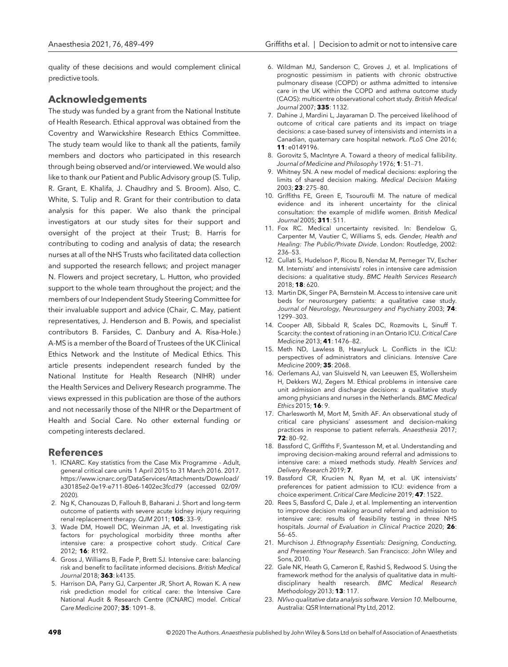quality of these decisions and would complement clinical predictive tools.

## Acknowledgements

The study was funded by a grant from the National Institute of Health Research. Ethical approval was obtained from the Coventry and Warwickshire Research Ethics Committee. The study team would like to thank all the patients, family members and doctors who participated in this research through being observed and/or interviewed. We would also like to thank our Patient and Public Advisory group (S. Tulip, R. Grant, E. Khalifa, J. Chaudhry and S. Broom). Also, C. White, S. Tulip and R. Grant for their contribution to data analysis for this paper. We also thank the principal investigators at our study sites for their support and oversight of the project at their Trust; B. Harris for contributing to coding and analysis of data; the research nurses at all of the NHS Trusts who facilitated data collection and supported the research fellows; and project manager N. Flowers and project secretary, L. Hutton, who provided support to the whole team throughout the project; and the members of our Independent Study Steering Committee for their invaluable support and advice (Chair, C. May, patient representatives, J. Henderson and B. Powis, and specialist contributors B. Farsides, C. Danbury and A. Risa-Hole.) A-MS is a member of the Board of Trustees of the UK Clinical Ethics Network and the Institute of Medical Ethics. This article presents independent research funded by the National Institute for Health Research (NIHR) under the Health Services and Delivery Research programme. The views expressed in this publication are those of the authors and not necessarily those of the NIHR or the Department of Health and Social Care. No other external funding or competing interests declared.

# References

- 1. ICNARC. Key statistics from the Case Mix Programme Adult, general critical care units 1 April 2015 to 31 March 2016. 2017. [https://www.icnarc.org/DataServices/Attachments/Download/](https://www.icnarc.org/DataServices/Attachments/Download/a30185e2-0e19-e711-80e6-1402ec3fcd79) [a30185e2-0e19-e711-80e6-1402ec3fcd79](https://www.icnarc.org/DataServices/Attachments/Download/a30185e2-0e19-e711-80e6-1402ec3fcd79) (accessed 02/09/ 2020).
- 2. Ng K, Chanouzas D, Fallouh B, Baharani J. Short and long-term outcome of patients with severe acute kidney injury requiring renal replacement therapy. QJM 2011; 105: 33-9.
- 3. Wade DM, Howell DC, Weinman JA, et al. Investigating risk factors for psychological morbidity three months after intensive care: a prospective cohort study. Critical Care 2012; 16: R192.
- 4. Gross J, Williams B, Fade P, Brett SJ. Intensive care: balancing risk and benefit to facilitate informed decisions. British Medical Journal 2018; 363: k4135.
- 5. Harrison DA, Parry GJ, Carpenter JR, Short A, Rowan K. A new risk prediction model for critical care: the Intensive Care National Audit & Research Centre (ICNARC) model. Critical Care Medicine 2007; 35: 1091–8.
- 6. Wildman MJ, Sanderson C, Groves J, et al. Implications of prognostic pessimism in patients with chronic obstructive pulmonary disease (COPD) or asthma admitted to intensive care in the UK within the COPD and asthma outcome study (CAOS): multicentre observational cohort study. British Medical Journal 2007; 335: 1132.
- 7. Dahine J, Mardini L, Jayaraman D. The perceived likelihood of outcome of critical care patients and its impact on triage decisions: a case-based survey of intensivists and internists in a Canadian, quaternary care hospital network. PLoS One 2016;  $11 \cdot e0149196$
- 8. Gorovitz S, MacIntyre A. Toward a theory of medical fallibility. Journal of Medicine and Philosophy 1976; 1: 51-71.
- 9. Whitney SN. A new model of medical decisions: exploring the limits of shared decision making. Medical Decision Making 2003; 23: 275–80.
- 10. Griffiths FE, Green E, Tsouroufli M. The nature of medical evidence and its inherent uncertainty for the clinical consultation: the example of midlife women. British Medical Journal 2005; 311: 511.
- 11. Fox RC. Medical uncertainty revisited. In: Bendelow G, Carpenter M, Vautier C, Williams S, eds. Gender, Health and Healing: The Public/Private Divide. London: Routledge, 2002: 236–53.
- 12. Cullati S, Hudelson P, Ricou B, Nendaz M, Perneger TV, Escher M. Internists' and intensivists' roles in intensive care admission decisions: a qualitative study. BMC Health Services Research 2018; 18: 620.
- 13. Martin DK, Singer PA, Bernstein M. Access to intensive care unit beds for neurosurgery patients: a qualitative case study. Journal of Neurology, Neurosurgery and Psychiatry 2003; 74: 1299–303.
- 14. Cooper AB, Sibbald R, Scales DC, Rozmovits L, Sinuff T. Scarcity: the context of rationing in an Ontario ICU. Critical Care Medicine 2013; 41: 1476–82.
- 15. Meth ND, Lawless B, Hawryluck L. Conflicts in the ICU: perspectives of administrators and clinicians. Intensive Care Medicine 2009; 35: 2068.
- 16. Oerlemans AJ, van Sluisveld N, van Leeuwen ES, Wollersheim H, Dekkers WJ, Zegers M. Ethical problems in intensive care unit admission and discharge decisions: a qualitative study among physicians and nurses in the Netherlands. BMC Medical Ethics 2015; 16: 9.
- 17. Charlesworth M, Mort M, Smith AF. An observational study of critical care physicians' assessment and decision-making practices in response to patient referrals. Anaesthesia 2017; 72: 80–92.
- 18. Bassford C, Griffiths F, Svantesson M, et al. Understanding and improving decision-making around referral and admissions to intensive care: a mixed methods study. Health Services and Delivery Research 2019; 7.
- 19. Bassford CR, Krucien N, Ryan M, et al. UK intensivists' preferences for patient admission to ICU: evidence from a choice experiment. Critical Care Medicine 2019; 47: 1522.
- 20. Rees S, Bassford C, Dale J, et al. Implementing an intervention to improve decision making around referral and admission to intensive care: results of feasibility testing in three NHS hospitals. Journal of Evaluation in Clinical Practice 2020; 26: 56–65.
- 21. Murchison J. Ethnography Essentials: Designing, Conducting, and Presenting Your Research. San Francisco: John Wiley and Sons, 2010.
- 22. Gale NK, Heath G, Cameron E, Rashid S, Redwood S. Using the framework method for the analysis of qualitative data in multidisciplinary health research. BMC Medical Research Methodology 2013; 13: 117.
- 23. NVivo qualitative data analysis software. Version 10. Melbourne, Australia: QSR International Pty Ltd, 2012.